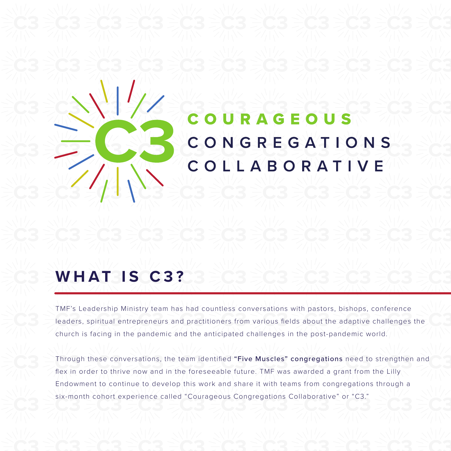# URAGEOU S CONGREGATIONS COLLABORATIVE

# **WHAT IS C3?**

TMF's Leadership Ministry team has had countless conversations with pastors, bishops, conference leaders, spiritual entrepreneurs and practitioners from various fields about the adaptive challenges the church is facing in the pandemic and the anticipated challenges in the post-pandemic world.

Through these conversations, the team identified "Five Muscles" congregations need to strengthen and flex in order to thrive now and in the foreseeable future. TMF was awarded a grant from the Lilly Endowment to continue to develop this work and share it with teams from congregations through a six-month cohort experience called "Courageous Congregations Collaborative" or "C3."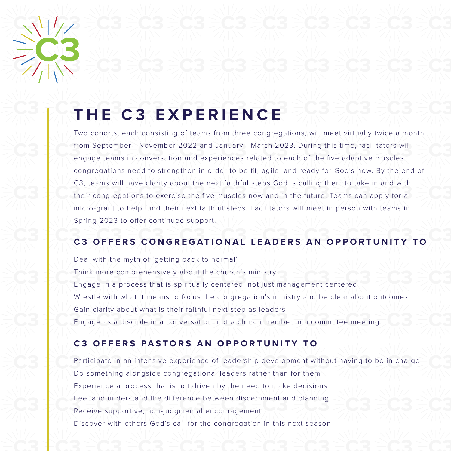

# **THE C3 EXPERIENCE**

Two cohorts, each consisting of teams from three congregations, will meet virtually twice a month from September - November 2022 and January - March 2023. During this time, facilitators will engage teams in conversation and experiences related to each of the five adaptive muscles congregations need to strengthen in order to be fit, agile, and ready for God's now. By the end of C3, teams will have clarity about the next faithful steps God is calling them to take in and with their congregations to exercise the five muscles now and in the future. Teams can apply for a micro-grant to help fund their next faithful steps. Facilitators will meet in person with teams in Spring 2023 to offer continued support.

### **C3 OFFERS CONGREGATIONAL LEADERS AN OPPORTUNITY TO**

Deal with the myth of 'getting back to normal', Think more comprehensively about the church's ministry Engage in a process that is spiritually centered, not just management centered Wrestle with what it means to focus the congregation's ministry and be clear about outcomes Gain clarity about what is their faithful next step as leaders Engage as a disciple in a conversation, not a church member in a committee meeting

### **C3 OFFERS PASTORS AN OPPORTUNITY TO**

Participate in an intensive experience of leadership development without having to be in charge Do something alongside congregational leaders rather than for them Experience a process that is not driven by the need to make decisions Feel and understand the difference between discernment and planning Receive supportive, non-judgmental encouragement Discover with others God's call for the congregation in this next season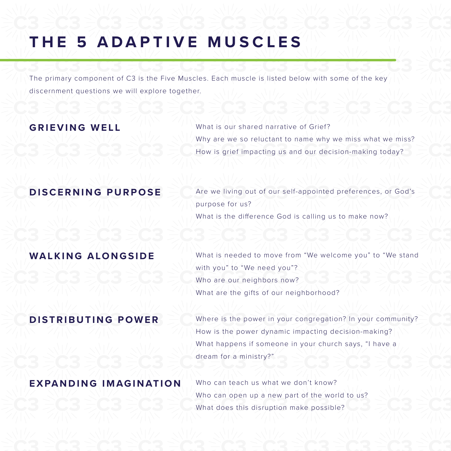# **THE 5 ADAPTIVE MUSCLES**

The primary component of C3 is the Five Muscles. Each muscle is listed below with some of the key discernment questions we will explore together.

**GRIEVING WELL** What is our shared narrative of Grief? Why are we so reluctant to name why we miss what we miss? How is grief impacting us and our decision-making today?

**DISCERNING PURPOSE** Are we living out of our self-appointed preferences, or God's purpose for us? What is the difference God is calling us to make now?

**WALKING ALONGSIDE** What is needed to move from "We welcome you" to "We stand with you" to "We need you"? Who are our neighbors now? What are the gifts of our neighborhood?

### **DISTRIBUTING POWER**

Where is the power in your congregation? In your community? How is the power dynamic impacting decision-making? What happens if someone in your church says, "I have a dream for a ministry?"

### **EXPANDING IMAGINATION**

Who can teach us what we don't know? Who can open up a new part of the world to us? What does this disruption make possible?